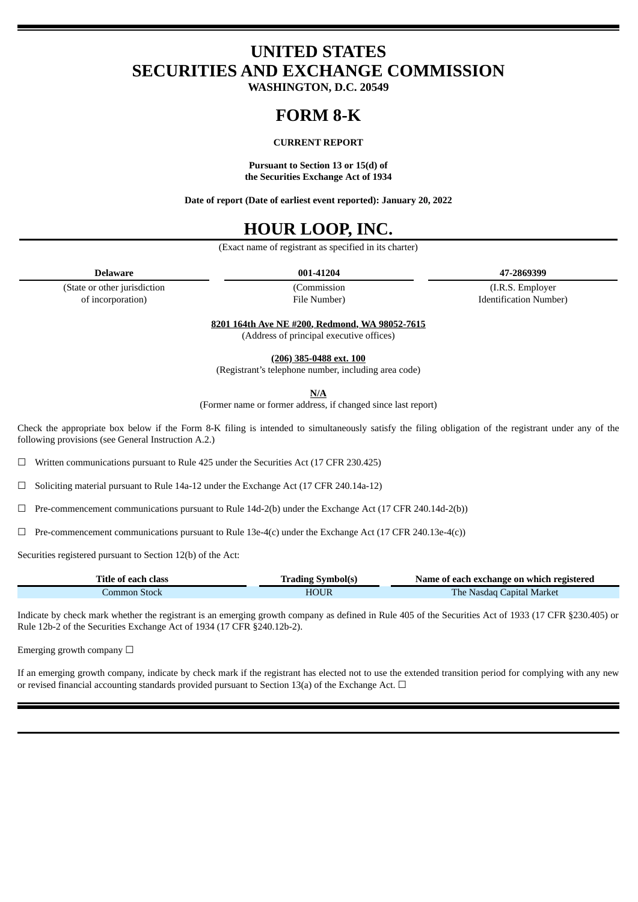# **UNITED STATES SECURITIES AND EXCHANGE COMMISSION**

**WASHINGTON, D.C. 20549**

# **FORM 8-K**

## **CURRENT REPORT**

**Pursuant to Section 13 or 15(d) of the Securities Exchange Act of 1934**

**Date of report (Date of earliest event reported): January 20, 2022**

# **HOUR LOOP, INC.**

(Exact name of registrant as specified in its charter)

**Delaware 001-41204 47-2869399**

(State or other jurisdiction of incorporation)

(Commission File Number)

(I.R.S. Employer Identification Number)

**8201 164th Ave NE #200, Redmond, WA 98052-7615**

(Address of principal executive offices)

**(206) 385-0488 ext. 100**

(Registrant's telephone number, including area code)

**N/A**

(Former name or former address, if changed since last report)

Check the appropriate box below if the Form 8-K filing is intended to simultaneously satisfy the filing obligation of the registrant under any of the following provisions (see General Instruction A.2.)

☐ Written communications pursuant to Rule 425 under the Securities Act (17 CFR 230.425)

☐ Soliciting material pursuant to Rule 14a-12 under the Exchange Act (17 CFR 240.14a-12)

 $\Box$  Pre-commencement communications pursuant to Rule 14d-2(b) under the Exchange Act (17 CFR 240.14d-2(b))

 $\Box$  Pre-commencement communications pursuant to Rule 13e-4(c) under the Exchange Act (17 CFR 240.13e-4(c))

Securities registered pursuant to Section 12(b) of the Act:

| Title of each class | <b>Trading Symbol(s)</b> | Name of each exchange on which registered |
|---------------------|--------------------------|-------------------------------------------|
| Common Stock        | <b>HOUR</b>              | <b>The Nasdaq Capital Market</b>          |

Indicate by check mark whether the registrant is an emerging growth company as defined in Rule 405 of the Securities Act of 1933 (17 CFR §230.405) or Rule 12b-2 of the Securities Exchange Act of 1934 (17 CFR §240.12b-2).

Emerging growth company  $\Box$ 

If an emerging growth company, indicate by check mark if the registrant has elected not to use the extended transition period for complying with any new or revised financial accounting standards provided pursuant to Section 13(a) of the Exchange Act. □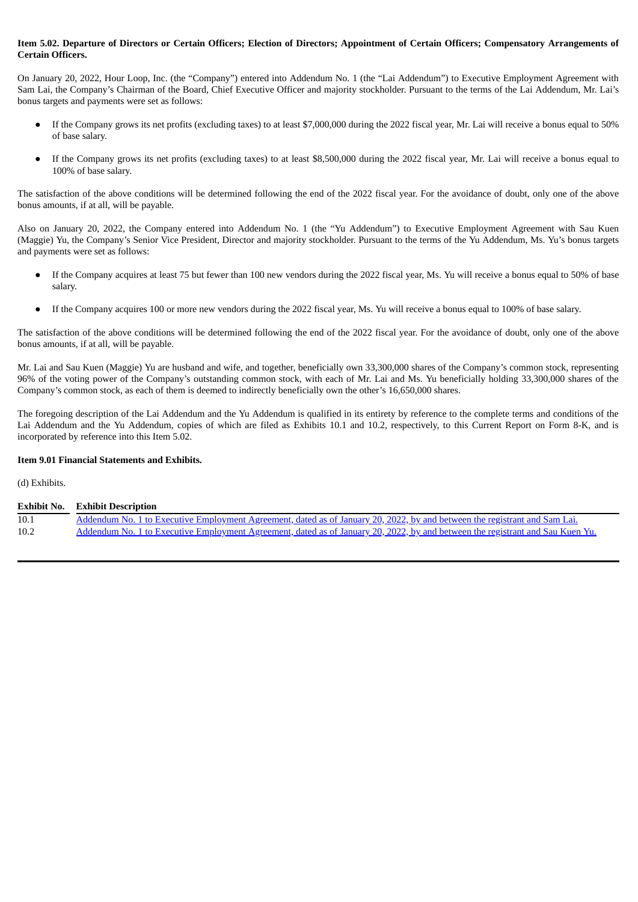## Item 5.02. Departure of Directors or Certain Officers; Election of Directors; Appointment of Certain Officers; Compensatory Arrangements of **Certain Officers.**

On January 20, 2022, Hour Loop, Inc. (the "Company") entered into Addendum No. 1 (the "Lai Addendum") to Executive Employment Agreement with Sam Lai, the Company's Chairman of the Board, Chief Executive Officer and majority stockholder. Pursuant to the terms of the Lai Addendum, Mr. Lai's bonus targets and payments were set as follows:

- If the Company grows its net profits (excluding taxes) to at least \$7,000,000 during the 2022 fiscal year, Mr. Lai will receive a bonus equal to 50% of base salary.
- If the Company grows its net profits (excluding taxes) to at least \$8,500,000 during the 2022 fiscal year, Mr. Lai will receive a bonus equal to 100% of base salary.

The satisfaction of the above conditions will be determined following the end of the 2022 fiscal year. For the avoidance of doubt, only one of the above bonus amounts, if at all, will be payable.

Also on January 20, 2022, the Company entered into Addendum No. 1 (the "Yu Addendum") to Executive Employment Agreement with Sau Kuen (Maggie) Yu, the Company's Senior Vice President, Director and majority stockholder. Pursuant to the terms of the Yu Addendum, Ms. Yu's bonus targets and payments were set as follows:

- If the Company acquires at least 75 but fewer than 100 new vendors during the 2022 fiscal year, Ms. Yu will receive a bonus equal to 50% of base salary.
- If the Company acquires 100 or more new vendors during the 2022 fiscal year, Ms. Yu will receive a bonus equal to 100% of base salary.

The satisfaction of the above conditions will be determined following the end of the 2022 fiscal year. For the avoidance of doubt, only one of the above bonus amounts, if at all, will be payable.

Mr. Lai and Sau Kuen (Maggie) Yu are husband and wife, and together, beneficially own 33,300,000 shares of the Company's common stock, representing 96% of the voting power of the Company's outstanding common stock, with each of Mr. Lai and Ms. Yu beneficially holding 33,300,000 shares of the Company's common stock, as each of them is deemed to indirectly beneficially own the other's 16,650,000 shares.

The foregoing description of the Lai Addendum and the Yu Addendum is qualified in its entirety by reference to the complete terms and conditions of the Lai Addendum and the Yu Addendum, copies of which are filed as Exhibits 10.1 and 10.2, respectively, to this Current Report on Form 8-K, and is incorporated by reference into this Item 5.02.

## **Item 9.01 Financial Statements and Exhibits.**

(d) Exhibits.

### **Exhibit No. Exhibit Description**

| 10.1 | <u>Addendum No. 1 to Executive Employment Agreement, dated as of January 20, 2022, by and between the registrant and Sam Lai.</u> |
|------|-----------------------------------------------------------------------------------------------------------------------------------|
| 10.2 | Addendum No. 1 to Executive Employment Agreement, dated as of January 20, 2022, by and between the registrant and Sau Kuen Yu.    |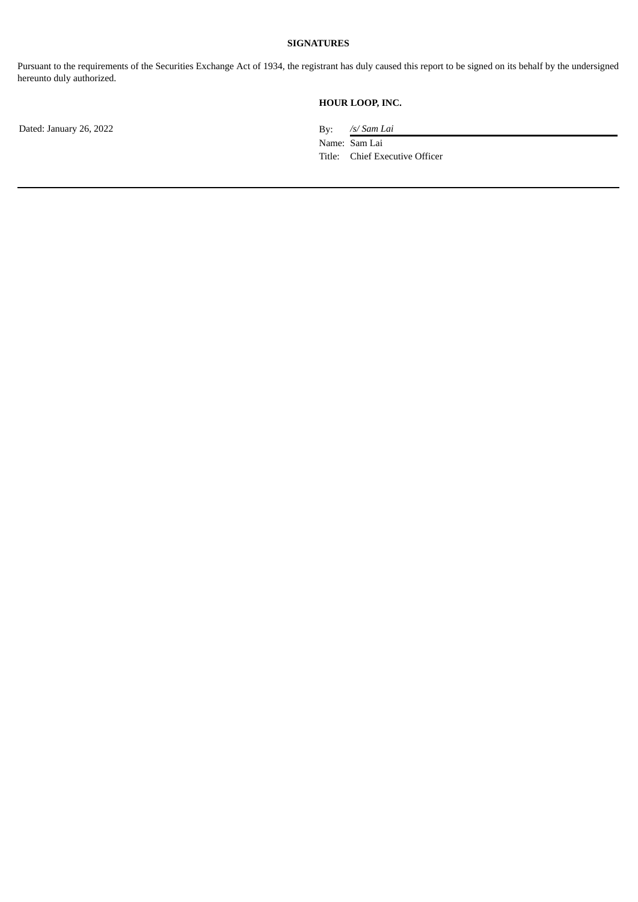## **SIGNATURES**

Pursuant to the requirements of the Securities Exchange Act of 1934, the registrant has duly caused this report to be signed on its behalf by the undersigned hereunto duly authorized.

# **HOUR LOOP, INC.**

Dated: January 26, 2022 **By:** /s/ *Sam Lai* 

Name: Sam Lai Title: Chief Executive Officer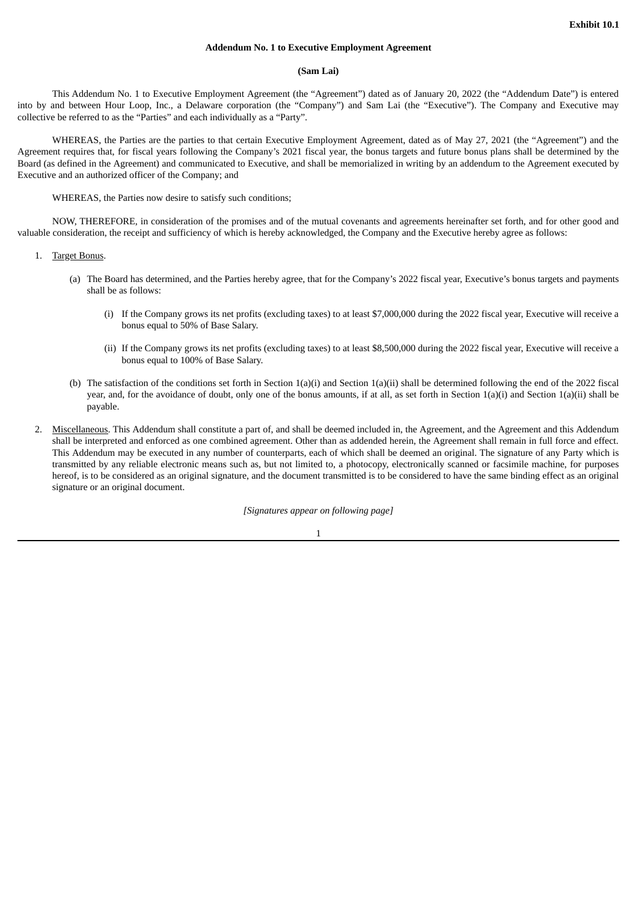### **Addendum No. 1 to Executive Employment Agreement**

#### **(Sam Lai)**

<span id="page-3-0"></span>This Addendum No. 1 to Executive Employment Agreement (the "Agreement") dated as of January 20, 2022 (the "Addendum Date") is entered into by and between Hour Loop, Inc., a Delaware corporation (the "Company") and Sam Lai (the "Executive"). The Company and Executive may collective be referred to as the "Parties" and each individually as a "Party".

WHEREAS, the Parties are the parties to that certain Executive Employment Agreement, dated as of May 27, 2021 (the "Agreement") and the Agreement requires that, for fiscal years following the Company's 2021 fiscal year, the bonus targets and future bonus plans shall be determined by the Board (as defined in the Agreement) and communicated to Executive, and shall be memorialized in writing by an addendum to the Agreement executed by Executive and an authorized officer of the Company; and

WHEREAS, the Parties now desire to satisfy such conditions;

NOW, THEREFORE, in consideration of the promises and of the mutual covenants and agreements hereinafter set forth, and for other good and valuable consideration, the receipt and sufficiency of which is hereby acknowledged, the Company and the Executive hereby agree as follows:

- 1. Target Bonus.
	- (a) The Board has determined, and the Parties hereby agree, that for the Company's 2022 fiscal year, Executive's bonus targets and payments shall be as follows:
		- (i) If the Company grows its net profits (excluding taxes) to at least \$7,000,000 during the 2022 fiscal year, Executive will receive a bonus equal to 50% of Base Salary.
		- (ii) If the Company grows its net profits (excluding taxes) to at least \$8,500,000 during the 2022 fiscal year, Executive will receive a bonus equal to 100% of Base Salary.
	- (b) The satisfaction of the conditions set forth in Section 1(a)(i) and Section 1(a)(ii) shall be determined following the end of the 2022 fiscal year, and, for the avoidance of doubt, only one of the bonus amounts, if at all, as set forth in Section 1(a)(i) and Section 1(a)(ii) shall be payable.
- 2. Miscellaneous. This Addendum shall constitute a part of, and shall be deemed included in, the Agreement, and the Agreement and this Addendum shall be interpreted and enforced as one combined agreement. Other than as addended herein, the Agreement shall remain in full force and effect. This Addendum may be executed in any number of counterparts, each of which shall be deemed an original. The signature of any Party which is transmitted by any reliable electronic means such as, but not limited to, a photocopy, electronically scanned or facsimile machine, for purposes hereof, is to be considered as an original signature, and the document transmitted is to be considered to have the same binding effect as an original signature or an original document.

*[Signatures appear on following page]*

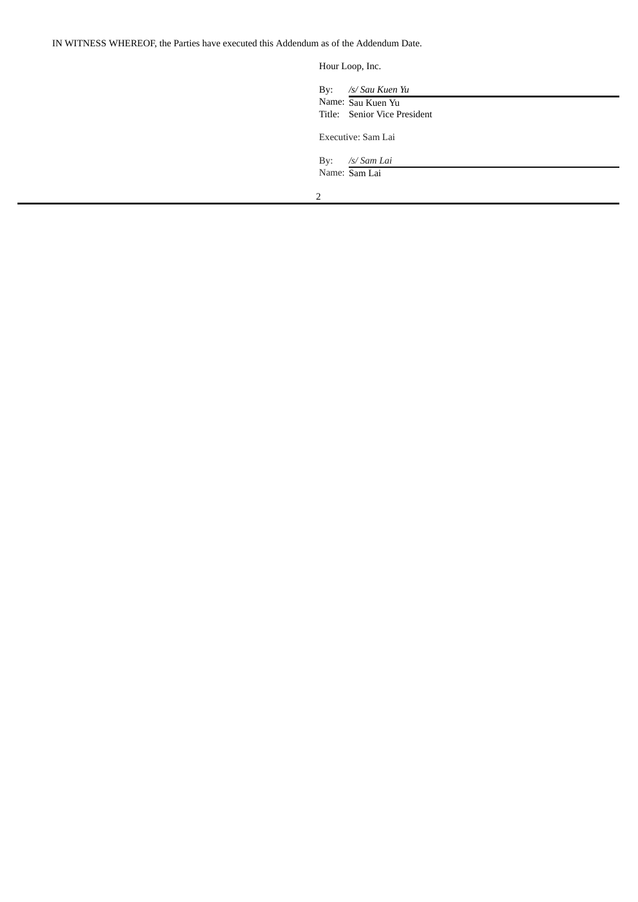IN WITNESS WHEREOF, the Parties have executed this Addendum as of the Addendum Date.

Hour Loop, Inc.

| By: | /s/ Sau Kuen Yu<br>Name: Sau Kuen Yu |
|-----|--------------------------------------|
|     | Title: Senior Vice President         |
|     | Executive: Sam Lai                   |
| By: | /s/ Sam Lai                          |
|     | Name: Sam Lai                        |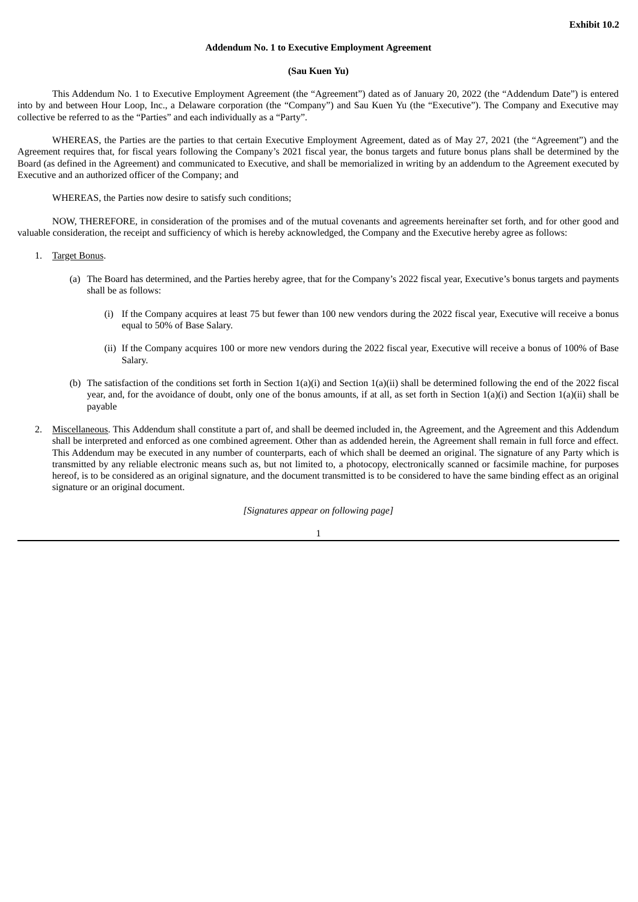### **Addendum No. 1 to Executive Employment Agreement**

#### **(Sau Kuen Yu)**

<span id="page-5-0"></span>This Addendum No. 1 to Executive Employment Agreement (the "Agreement") dated as of January 20, 2022 (the "Addendum Date") is entered into by and between Hour Loop, Inc., a Delaware corporation (the "Company") and Sau Kuen Yu (the "Executive"). The Company and Executive may collective be referred to as the "Parties" and each individually as a "Party".

WHEREAS, the Parties are the parties to that certain Executive Employment Agreement, dated as of May 27, 2021 (the "Agreement") and the Agreement requires that, for fiscal years following the Company's 2021 fiscal year, the bonus targets and future bonus plans shall be determined by the Board (as defined in the Agreement) and communicated to Executive, and shall be memorialized in writing by an addendum to the Agreement executed by Executive and an authorized officer of the Company; and

WHEREAS, the Parties now desire to satisfy such conditions;

NOW, THEREFORE, in consideration of the promises and of the mutual covenants and agreements hereinafter set forth, and for other good and valuable consideration, the receipt and sufficiency of which is hereby acknowledged, the Company and the Executive hereby agree as follows:

- 1. Target Bonus.
	- (a) The Board has determined, and the Parties hereby agree, that for the Company's 2022 fiscal year, Executive's bonus targets and payments shall be as follows:
		- (i) If the Company acquires at least 75 but fewer than 100 new vendors during the 2022 fiscal year, Executive will receive a bonus equal to 50% of Base Salary.
		- (ii) If the Company acquires 100 or more new vendors during the 2022 fiscal year, Executive will receive a bonus of 100% of Base Salary.
	- (b) The satisfaction of the conditions set forth in Section 1(a)(i) and Section 1(a)(ii) shall be determined following the end of the 2022 fiscal year, and, for the avoidance of doubt, only one of the bonus amounts, if at all, as set forth in Section 1(a)(i) and Section 1(a)(ii) shall be payable
- 2. Miscellaneous. This Addendum shall constitute a part of, and shall be deemed included in, the Agreement, and the Agreement and this Addendum shall be interpreted and enforced as one combined agreement. Other than as addended herein, the Agreement shall remain in full force and effect. This Addendum may be executed in any number of counterparts, each of which shall be deemed an original. The signature of any Party which is transmitted by any reliable electronic means such as, but not limited to, a photocopy, electronically scanned or facsimile machine, for purposes hereof, is to be considered as an original signature, and the document transmitted is to be considered to have the same binding effect as an original signature or an original document.

*[Signatures appear on following page]*